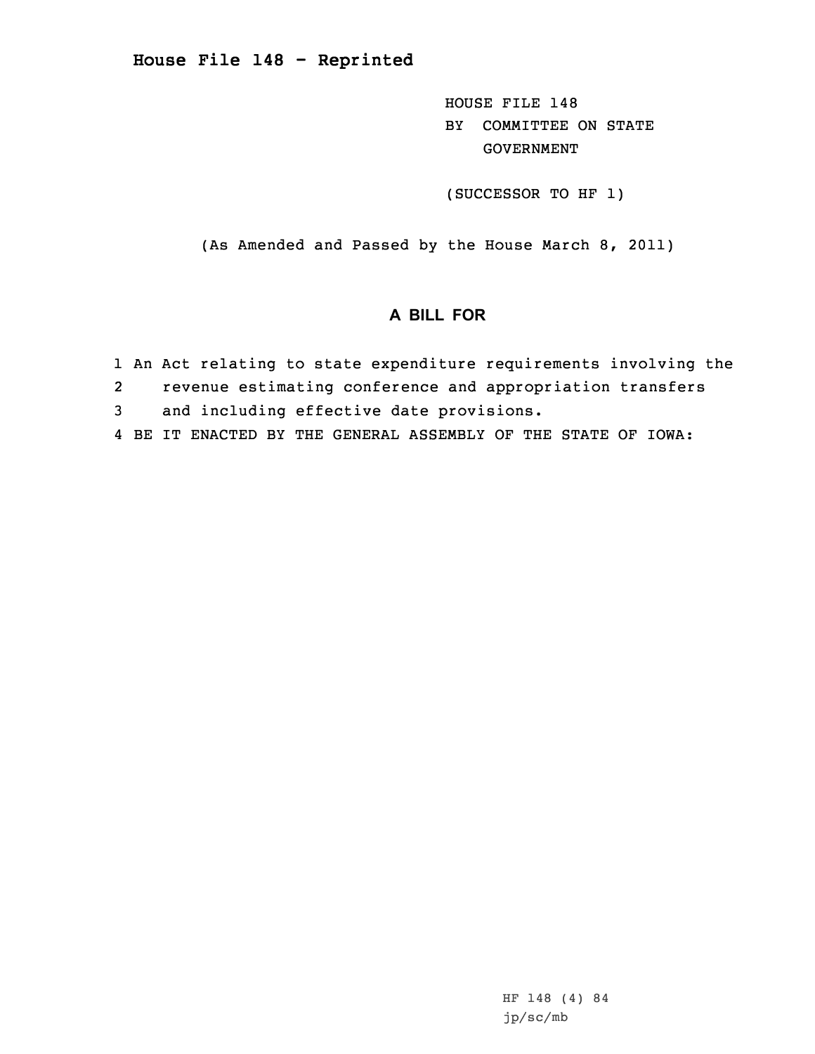**House File 148 - Reprinted**

HOUSE FILE 148 BY COMMITTEE ON STATE GOVERNMENT

(SUCCESSOR TO HF 1)

(As Amended and Passed by the House March 8, 2011)

## **A BILL FOR**

- 1 An Act relating to state expenditure requirements involving the
- 2revenue estimating conference and appropriation transfers
- 3 and including effective date provisions.
- 4 BE IT ENACTED BY THE GENERAL ASSEMBLY OF THE STATE OF IOWA: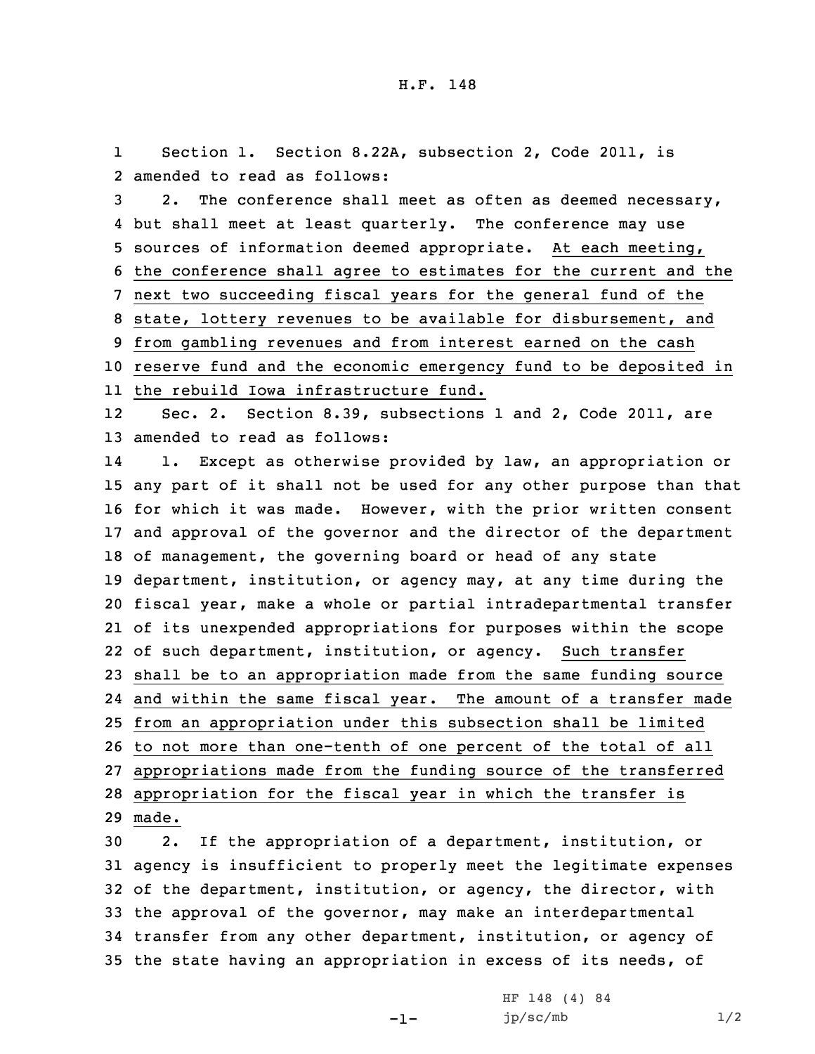1 Section 1. Section 8.22A, subsection 2, Code 2011, is 2 amended to read as follows:

 2. The conference shall meet as often as deemed necessary, but shall meet at least quarterly. The conference may use sources of information deemed appropriate. At each meeting, the conference shall agree to estimates for the current and the next two succeeding fiscal years for the general fund of the state, lottery revenues to be available for disbursement, and from gambling revenues and from interest earned on the cash reserve fund and the economic emergency fund to be deposited in the rebuild Iowa infrastructure fund.

12 Sec. 2. Section 8.39, subsections 1 and 2, Code 2011, are 13 amended to read as follows:

14 1. Except as otherwise provided by law, an appropriation or any part of it shall not be used for any other purpose than that for which it was made. However, with the prior written consent and approval of the governor and the director of the department of management, the governing board or head of any state department, institution, or agency may, at any time during the fiscal year, make <sup>a</sup> whole or partial intradepartmental transfer of its unexpended appropriations for purposes within the scope of such department, institution, or agency. Such transfer shall be to an appropriation made from the same funding source and within the same fiscal year. The amount of <sup>a</sup> transfer made from an appropriation under this subsection shall be limited to not more than one-tenth of one percent of the total of all appropriations made from the funding source of the transferred appropriation for the fiscal year in which the transfer is 29 made.

 2. If the appropriation of <sup>a</sup> department, institution, or agency is insufficient to properly meet the legitimate expenses of the department, institution, or agency, the director, with the approval of the governor, may make an interdepartmental transfer from any other department, institution, or agency of the state having an appropriation in excess of its needs, of

-1-

HF 148 (4) 84  $jp/sec/mb$  1/2